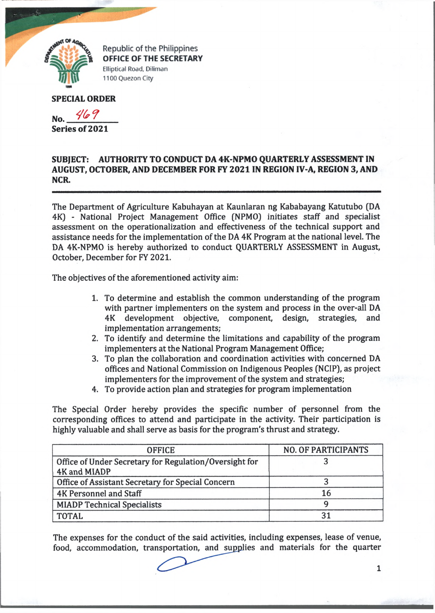

Republic of the Philippines **OFFICE OF THE SECRETARY Elliptical Road, Diliman 1100 Quezon City**

## **SPECIAL ORDER**

No. 469 **Series of 2021**

## SUBJECT: AUTHORITY TO CONDUCT DA 4K-NPMO QUARTERLY ASSESSMENT IN **AUGUST, OCTOBER, AND DECEMBER FOR FY 2021 IN REGION IV-A, REGION 3, AND NCR.**

The Department of Agriculture Kabuhayan at Kaunlaran ng Kababayang Katutubo (DA 4K) - National Project Management Office (NPMO) initiates staff and specialist assessment on the operationalization and effectiveness of the technical support and assistance needs for the implementation of the DA 4K Program at the national level. The DA 4K-NPMO is hereby authorized to conduct QUARTERLY ASSESSMENT in August, October, December for FY 2021.

The objectives of the aforementioned activity aim:

- 1. To determine and establish the common understanding of the program with partner implementers on the system and process in the over-all DA 4K development objective, component, design, strategies, and implementation arrangements;
- 2. To identify and determine the limitations and capability of the program implementers at the National Program Management Office;
- 3. To plan the collaboration and coordination activities with concerned DA offices and National Commission on Indigenous Peoples (NCIP), as project implementers for the improvement of the system and strategies;
- 4. To provide action plan and strategies for program implementation

The Special Order hereby provides the specific number of personnel from the corresponding offices to attend and participate in the activity. Their participation is highly valuable and shall serve as basis for the program's thrust and strategy.

| <b>OFFICE</b>                                          | <b>NO. OF PARTICIPANTS</b> |
|--------------------------------------------------------|----------------------------|
| Office of Under Secretary for Regulation/Oversight for |                            |
| 4K and MIADP                                           |                            |
| Office of Assistant Secretary for Special Concern      |                            |
| <b>4K Personnel and Staff</b>                          | 16                         |
| <b>MIADP Technical Specialists</b>                     |                            |
| <b>TOTAL</b>                                           |                            |

The expenses for the conduct of the said activities, including expenses, lease of venue, food, accommodation, transportation, and supplies and materials for the quarter